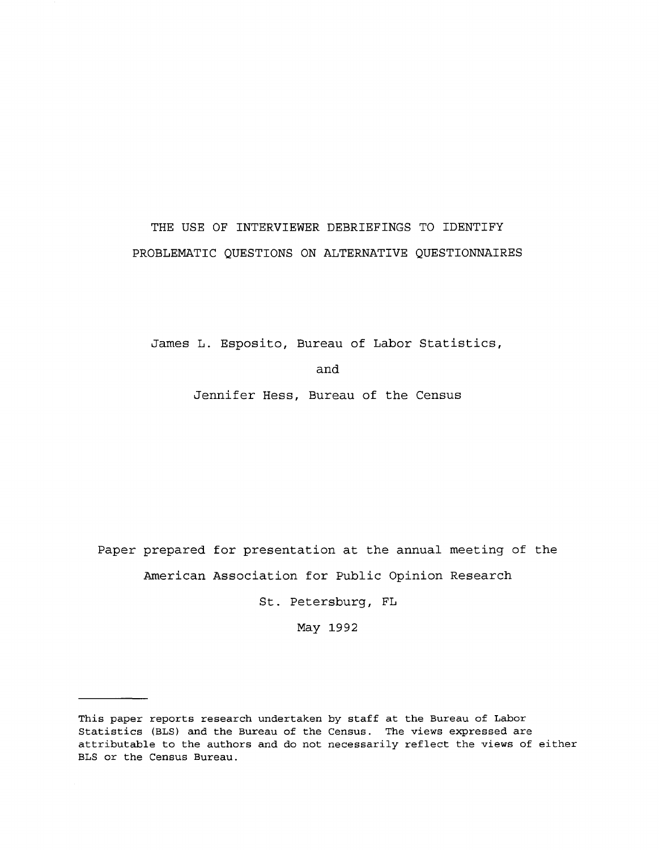# THE USE OF INTERVIEWER DEBRIEFINGS TO IDENTIFY PROBLEMATIC QUESTIONS ON ALTERNATIVE QUESTIONNAIRES

James **L.** Esposito, Bureau of Labor Statistics,

and

Jennifer Hess, Bureau of the Census

Paper prepared for presentation at the annual meeting of the American Association for Public Opinion Research

St. Petersburg, **FL**

May 1992

This paper reports research undertaken by staff at the Bureau of Labor Statistics (BLS) and the Bureau of the Census. The views expressed are attributable to the authors and do not necessarily reflect the views of either BLS or the Census Bureau.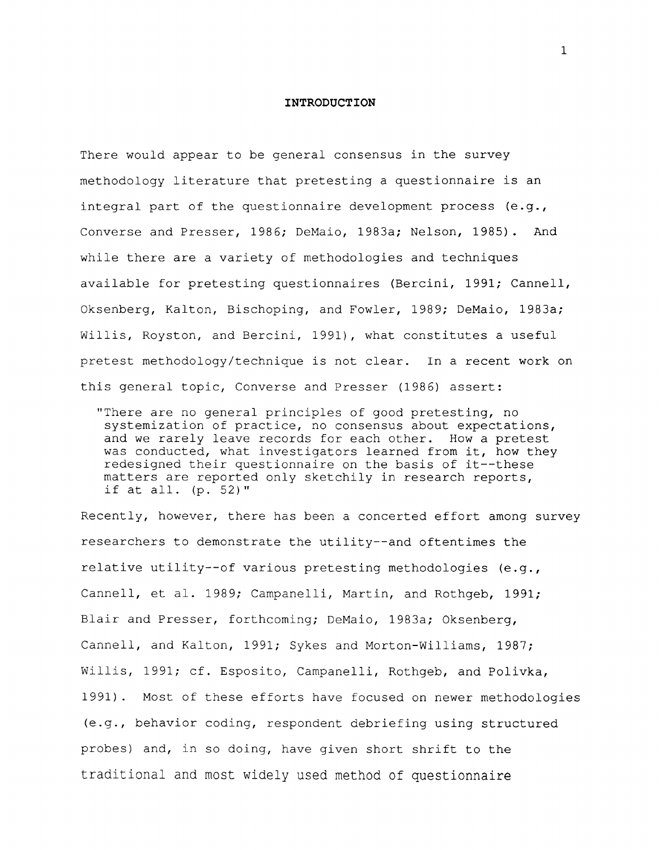#### **INTRODUCTION**

There would appear to be general consensus in the survey methodology literature that pretesting a questionnaire is an integral part of the questionnaire development process  $(e,q,$ Converse and Presser, 1986; DeMaio, 1983a; Nelson, 1985). And while there are a variety of methodologies and techniques available for pretesting questionnaires (Bercini, 1991; Cannell, Oksenberg, Kalton, Bischoping, and Fowler, 1989; DeMaio, 1983a; Willis, Royston, and Bercini, 1991), what constitutes a useful pretest methodology/technique is not clear. In a recent work on this general topic, Converse and Presser (1986) assert:

"There are no general principles of good pretesting, no systemization of practice, no consensus about expectations, and we rarely leave records for each other. How a pretest was conducted, what investigators learned from it, how they redesigned their questionnaire on the basis of it--these matters are reported only sketchily in research reports, if at all. (p. 52)"

Recently, however, there has been a concerted effort among survey researchers to demonstrate the utility--and oftentimes the relative utility--of various pretesting methodologies (e.g., Cannell, et al. 1989; Campanelli, Martin, and Rothgeb, 1991; Blair and Presser, forthcoming; DeMaio, 1983a; Oksenberg, Cannell, and Kalton, 1991; Sykes and Morton-Williams, 1987; Willis, 1991; cf. Esposito, Campanelli, Rothgeb, and Polivka, 1991) . Most of these efforts have focused on newer methodologies (e.g., behavior coding, respondent debriefing using structured probes) and, in so doing, have given short shrift to the traditional and most widely used method of questionnaire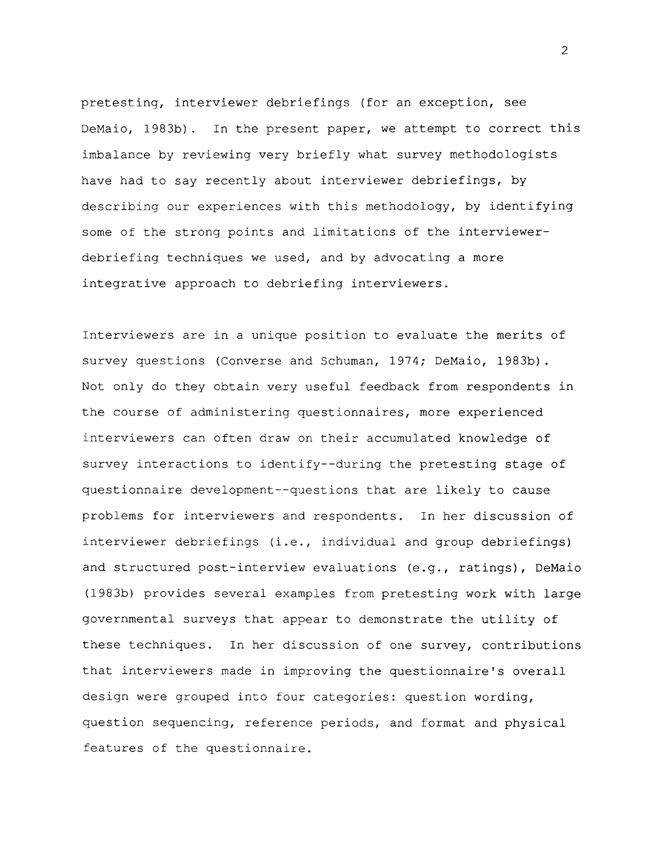pretesting, interviewer debriefings (for an exception, see DeMaio, 1983b) . In the present paper, we attempt to correct this imbalance by reviewing very briefly what survey methodologists have had to say recently about interviewer debriefings, by describing our experiences with this methodology, by identifying some of the strong points and limitations of the interviewerdebriefing techniques we used, and by advocating a more integrative approach to debriefing interviewers.

Interviewers are in a unique position to evaluate the merits of survey questions (Converse and Schuman, 1974; DeMaio, 1983b). Not only do they obtain very useful feedback from respondents in the course of administering questionnaires, more experienced interviewers can often draw on their accumulated knowledge of survey interactions to identify--during the pretesting stage of questionnaire development--questions that are likely to cause problems for interviewers and respondents. In her discussion of interviewer debriefings (i.e., individual and group debriefings) and structured post-interview evaluations (e.g., ratings), DeMaio (1983b) provides several examples from pretesting work with large governmental surveys that appear to demonstrate the utility of these techniques. In her discussion of one survey, contributions that interviewers made in improving the questionnaire's overall design were grouped into four categories: question wording, question sequencing, reference periods, and format and physical features of the questionnaire.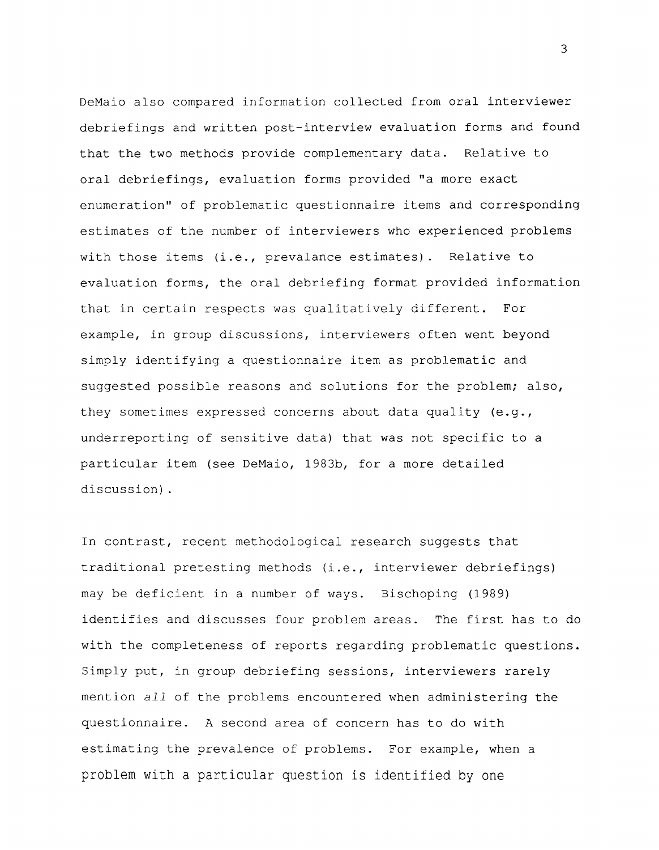DeMaio also compared information collected from oral interviewer debriefings and written post-interview evaluation forms and found that the two methods provide complementary data. Relative to oral debriefings, evaluation forms provided "a more exact enumeration" of problematic questionnaire items and corresponding estimates of the number of interviewers who experienced problems with those items (i.e., prevalance estimates). Relative to evaluation forms, the oral debriefing format provided information that in certain respects was qualitatively different. For example, in group discussions, interviewers often went beyond simply identifying a questionnaire item as problematic and suggested possible reasons and solutions for the problem; also, they sometimes expressed concerns about data quality (e.g., underreporting of sensitive data) that was not specific to a particular item (see DeMaio, 1983b, for a more detailed discussion) .

In contrast, recent methodological research suggests that traditional pretesting methods (i.e., interviewer debriefings) may be deficient in a number of ways. Bischoping (1989) identifies and discusses four problem areas. The first has to do with the completeness of reports regarding problematic questions. Simply put, in group debriefing sessions, interviewers rarely mention all of the problems encountered when administering the questionnaire. A second area of concern has to do with estimating the prevalence of problems. For example, when a problem with a particular question is identified by one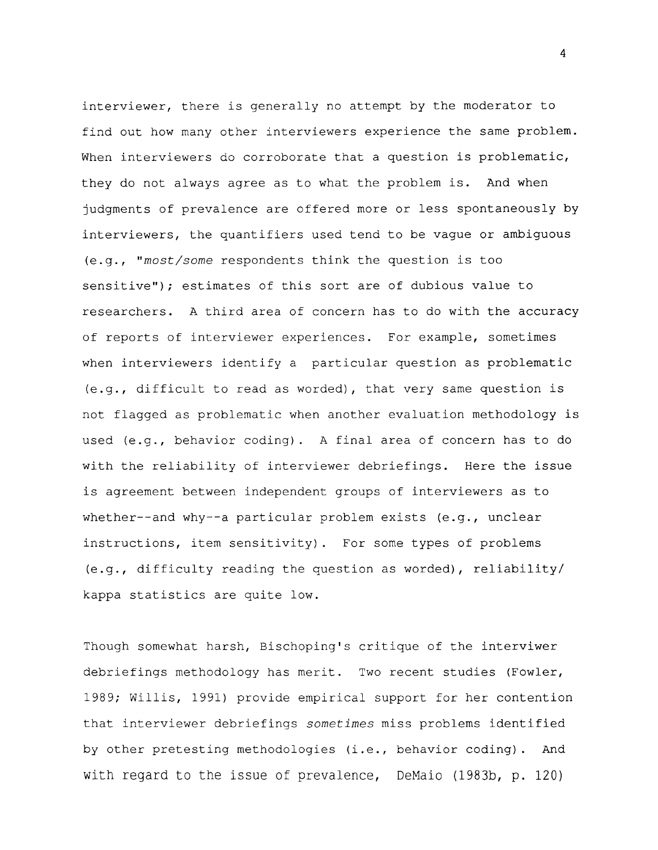interviewer, there is generally no attempt by the moderator to find out how many other interviewers experience the same problem. When interviewers do corroborate that a question is problematic, they do not always agree as to what the problem is. And when judgments of prevalence are offered more or less spontaneously by interviewers, the quantifiers used tend to be vague or ambiguous (e.g., "most/some respondents think the question is too sensitive"); estimates of this sort are of dubious value to researchers. A third area of concern has to do with the accuracy of reports of interviewer experiences. For example, sometimes when interviewers identify a particular question as problematic (e.g., difficult to read as worded), that very same question is not flagged as problematic when another evaluation methodology is used (e.g., behavior coding). A final area of concern has to do with the reliability of interviewer debriefings. Here the issue is agreement between independent groups of interviewers as to whether--and why--a particular problem exists (e.g., unclear instructions, item sensitivity) . For some types of problems (e.g., difficulty reading the question as worded), reliability/ kappa statistics are quite low.

Though somewhat harsh, Bischoping's critique of the interviwer debriefings methodology has merit. Two recent studies (Fowler, 1989; Willis, 1991) provide empirical support for her contention that interviewer debriefings sometimes miss problems identified by other pretesting methodologies (i.e., behavior coding). And with regard to the issue of prevalence, DeMaio (1983b, p. 120)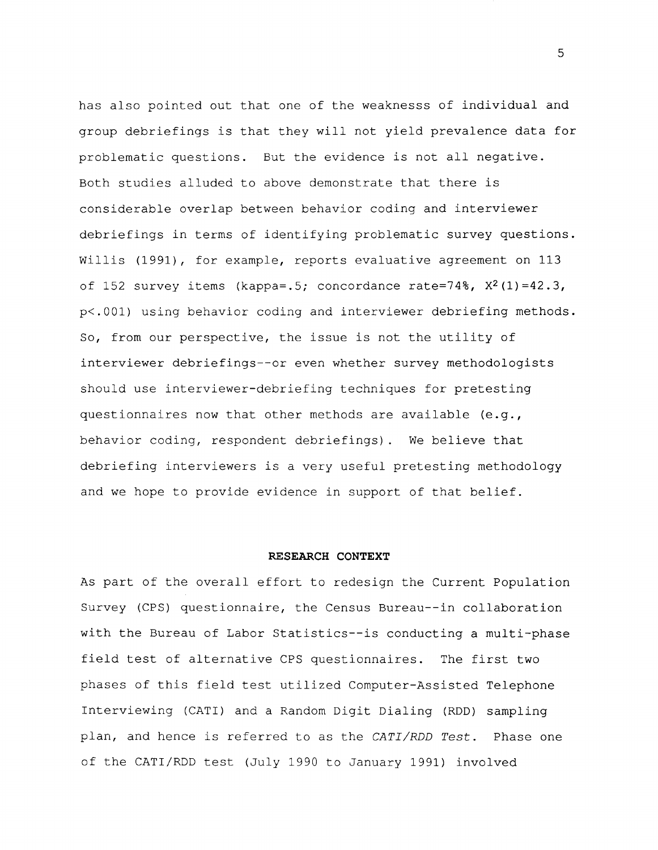has also pointed out that one of the weaknesss of individual and group debriefings is that they will not yield prevalence data for problematic questions. But the evidence is not all negative. Both studies alluded to above demonstrate that there is considerable overlap between behavior coding and interviewer debriefings in terms of identifying problematic survey questions. willis (1991), for example, reports evaluative agreement on 113 of 152 survey items (kappa=.5; concordance rate=74%,  $X^2(1) = 42.3$ , p<.OOl) using behavior coding and interviewer debriefing methods. So, from our perspective, the issue is not the utility of interviewer debriefings--or even whether survey methodologists should use interviewer-debriefing techniques for pretesting questionnaires now that other methods are available (e.g., behavior coding, respondent debriefings) . We believe that debriefing interviewers is a very useful pretesting methodology and we hope to provide evidence in support of that belief.

#### **RESEARCH CONTEXT**

As part of the overall effort to redesign the Current Population Survey (CPS) questionnaire, the Census Bureau--in collaboration with the Bureau of Labor Statistics--is conducting a multi-phase field test of alternative CPS questionnaires. The first two phases of this field test utilized Computer-Assisted Telephone Interviewing (CATI) and a Random Digit Dialing (RDD) sampling plan, and hence is referred to as the CATI/RDD Test. Phase one of the CATI/RDD test (July 1990 to January 1991) involved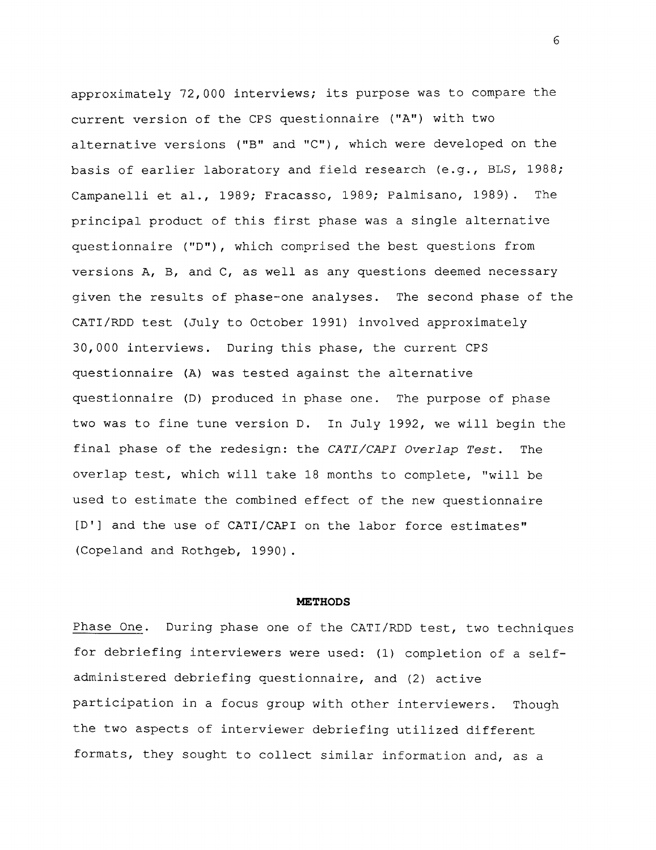approximately 72,000 interviews; its purpose was to compare the current version of the CPS questionnaire ("A") with two alternative versions ("B" and "C"), which were developed on the basis of earlier laboratory and field research (e.g., BLS, 1988; Campanelli et al., 1989; Fracasso, 1989; Palmisano, 1989). The principal product of this first phase was a single alternative questionnaire ("D"), which comprised the best questions from versions A, B, and C, as well as any questions deemed necessary given the results of phase-one analyses. The second phase of the CATI/RDD test (July to October 1991) involved approximately 30,000 interviews. During this phase, the current CPS questionnaire (A) was tested against the alternative questionnaire (D) produced in phase one. The purpose of phase two was to fine tune version D. In July 1992, we will begin the final phase of the redesign: the CATI/CAPI Overlap Test. The overlap test, which will take 18 months to complete, "will be used to estimate the combined effect of the new questionnaire [D'] and the use of CATI/CAPI on the labor force estimates" (Copeland and Rothgeb, 1990).

#### **METHODS**

Phase One. During phase one of the CATI/RDD test, two techniques for debriefing interviewers were used: (1) completion of a selfadministered debriefing questionnaire, and (2) active participation in a focus group with other interviewers. Though the two aspects of interviewer debriefing utilized different formats, they sought to collect similar information and, as a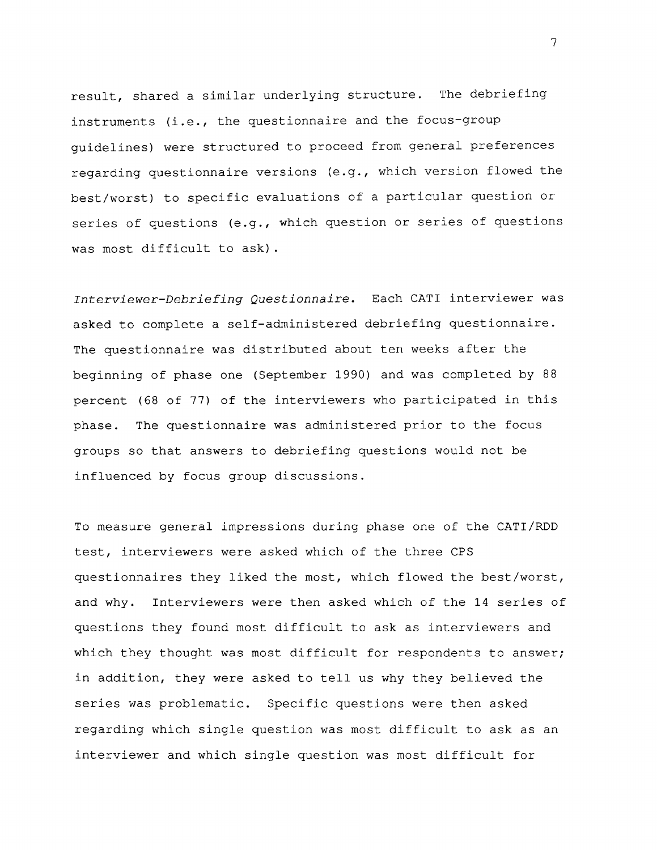result, shared a similar underlying structure. The debriefing instruments (i.e., the questionnaire and the focus-group guidelines) were structured to proceed from general preferences regarding questionnaire versions (e.g., which version flowed the best/worst) to specific evaluations of a particular question or series of questions (e.g., which question or series of questions was most difficult to ask) .

Interviewer-Debriefing Questionnaire. Each CATI interviewer was asked to complete a self-administered debriefing questionnaire. The questionnaire was distributed about ten weeks after the beginning of phase one (September 1990) and was completed by 88 percent (68 of 77) of the interviewers who participated in this phase. The questionnaire was administered prior to the focus groups so that answers to debriefing questions would not be influenced by focus group discussions.

To measure general impressions during phase one of the CATI/RDD test, interviewers were asked which of the three CPS questionnaires they liked the most, which flowed the best/worst, and why. Interviewers were then asked which of the 14 series of questions they found most difficult to ask as interviewers and which they thought was most difficult for respondents to answer; in addition, they were asked to tell us why they believed the series was problematic. Specific questions were then asked regarding which single question was most difficult to ask as an interviewer and which single question was most difficult for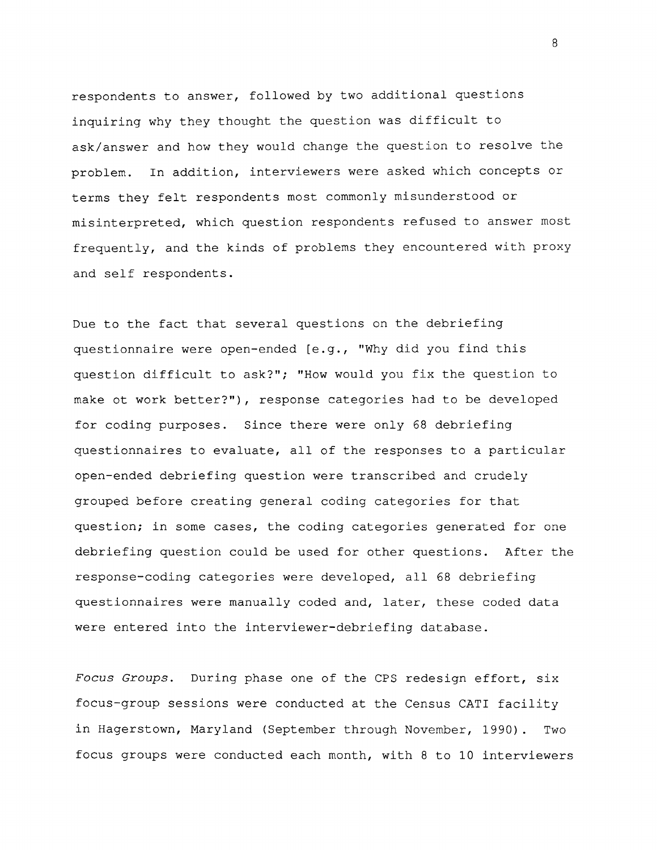respondents to answer, followed by two additional questions inquiring why they thought the question was difficult to ask/answer and how they would change the question to resolve the problem. In addition, interviewers were asked which concepts or terms they felt respondents most commonly misunderstood or misinterpreted, which question respondents refused to answer most frequently, and the kinds of problems they encountered with proxy and self respondents.

Due to the fact that several questions on the debriefing questionnaire were open-ended [e.g., "Why did you find this question difficult to ask?"; "How would you fix the question to make ot work better?"), response categories had to be developed for coding purposes. Since there were only 68 debriefing questionnaires to evaluate, all of the responses to a particular open-ended debriefing question were transcribed and crudely grouped before creating general coding categories for that question; in some cases, the coding categories generated for one debriefing question could be used for other questions. After the response-coding categories were developed, all 68 debriefing questionnaires were manually coded and, later, these coded data were entered into the interviewer-debriefing database.

Focus Groups. During phase one of the CPS redesign effort, six focus-group sessions were conducted at the Census CATI facility in Hagerstown, Maryland (September through November, 1990). Two focus groups were conducted each month, with 8 to 10 interviewers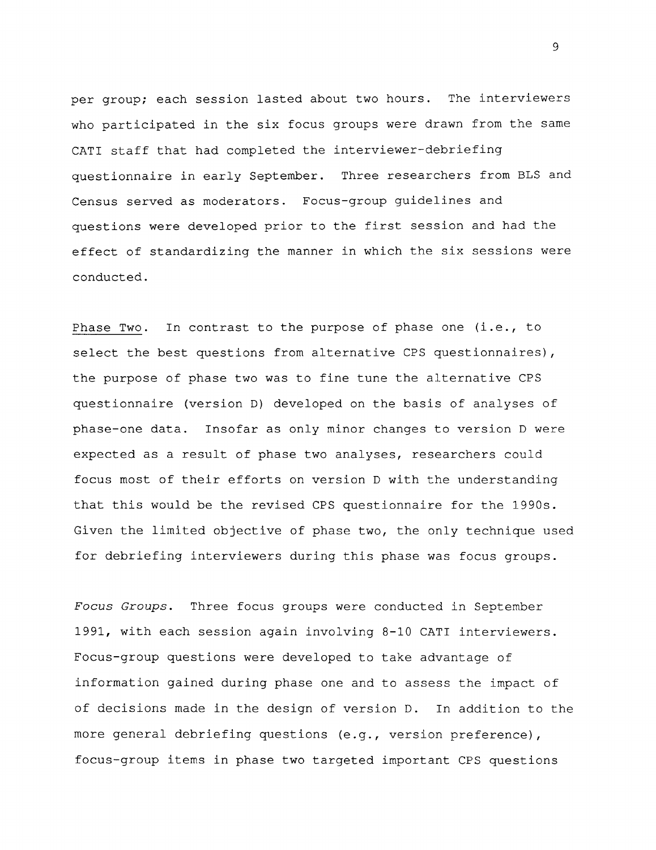per group; each session lasted about two hours. The interviewers who participated in the six focus groups were drawn from the same CATI staff that had completed the interviewer-debriefing questionnaire in early September. Three researchers from BLS and Census served as moderators. Focus-group guidelines and questions were developed prior to the first session and had the effect of standardizing the manner in which the six sessions were conducted.

Phase Two. In contrast to the purpose of phase one **(i.e., to** select the best questions from alternative CPS questionnaires), the purpose of phase two was to fine tune the alternative CPS questionnaire (version D) developed on the basis of analyses of phase-one data. Insofar as only minor changes to version D were expected as a result of phase two analyses, researchers could focus most of their efforts on version D with the understanding that this would be the revised CPS questionnaire for the 1990s. Given the limited objective of phase two, the only technique used for debriefing interviewers during this phase was focus groups.

Focus Groups. Three focus groups were conducted in September 1991, with each session again involving 8-10 CATI interviewers. Focus-group questions were developed to take advantage of information gained during phase one and to assess the impact of of decisions made in the design of version **D.** In addition to the more general debriefing questions **(e.g.,** version preference), focus-group items in phase two targeted important CPS questions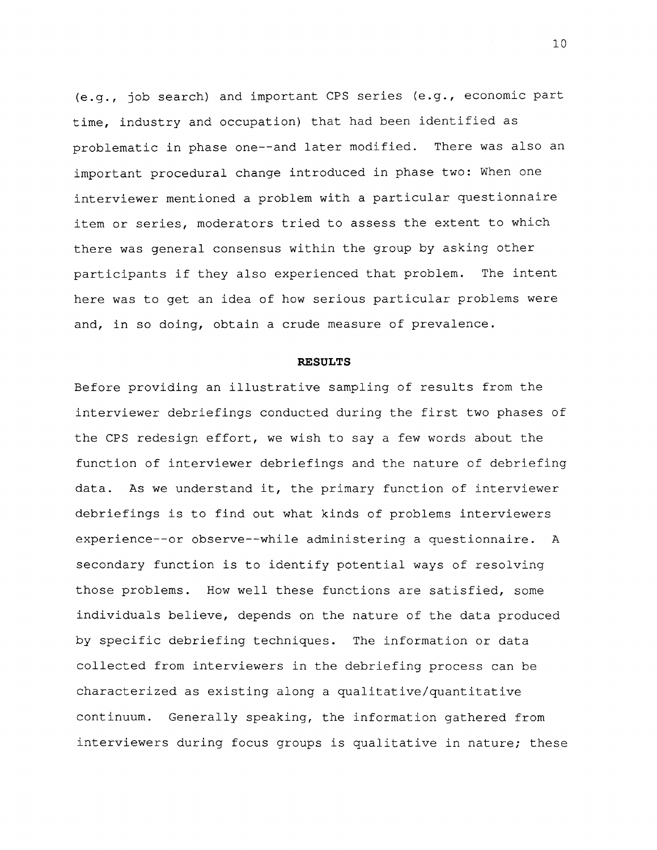(e.g., job search) and important CPS series (e.g., economic part time, industry and occupation) that had been identified as problematic in phase one--and later modified. There was also an important procedural change introduced in phase two: When one interviewer mentioned a problem with a particular questionnaire item or series, moderators tried to assess the extent to which there was general consensus within the group by asking other participants if they also experienced that problem. The intent here was to get an idea of how serious particular problems were and, in so doing, obtain a crude measure of prevalence.

#### **RESULTS**

Before providing an illustrative sampling of results from the interviewer debriefings conducted during the first two phases of the CPS redesign effort, we wish to say a few words about the function of interviewer debriefings and the nature of debriefing data. As we understand it, the primary function of interviewer debriefings is to find out what kinds of problems interviewers experience--or observe--while administering a questionnaire. A secondary function is to identify potential ways of resolving those problems. How well these functions are satisfied, some individuals believe, depends on the nature of the data produced by specific debriefing techniques. The information or data collected from interviewers in the debriefing process can be characterized as existing along a qualitative/quantitative continuum. Generally speaking, the information gathered from interviewers during focus groups is qualitative in nature; these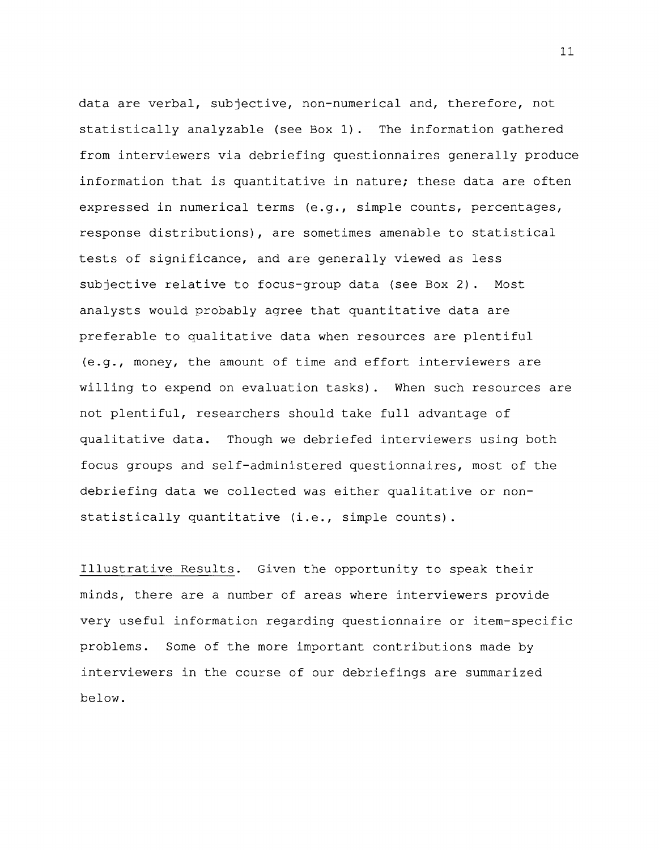data are verbal, subjective, non-numerical and, therefore, not statistically analyzable (see Box 1). The information gathered from interviewers via debriefing questionnaires generally produce information that is quantitative in nature; these data are often expressed in numerical terms (e.g., simple counts, percentages, response distributions), are sometimes amenable to statistical tests of significance, and are generally viewed as less subjective relative to focus-group data (see Box 2) . Most analysts would probably agree that quantitative data are preferable to qualitative data when resources are plentiful (e.g., money, the amount of time and effort interviewers are willing to expend on evaluation tasks) . When such resources are not plentiful, researchers should take full advantage of qualitative data. Though we debriefed interviewers using both focus groups and self-administered questionnaires, most of the debriefing data we collected was either qualitative or nonstatistically quantitative (i.e., simple counts).

Illustrative Results. Given the opportunity to speak their minds, there are a number of areas where interviewers provide very useful information regarding questionnaire or item-specific problems. Some of the more important contributions made by interviewers in the course of our debriefings are summarized below.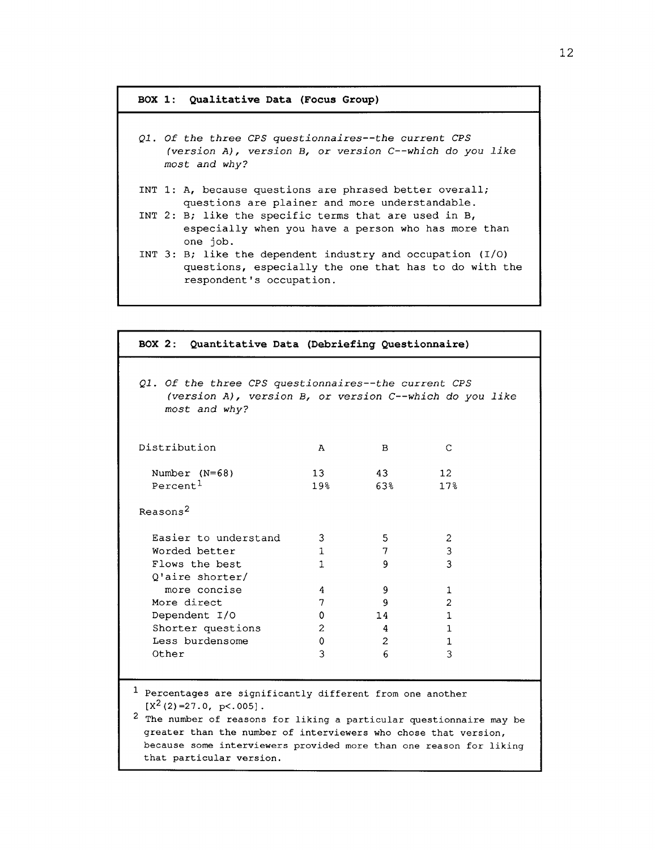## **BOX 1: Qualitative Data (Focus Group)**

| Q1. Of the three CPS questionnaires--the current CPS<br>(version $A$ ), version $B$ , or version $C$ --which do you like<br>most and why?         |
|---------------------------------------------------------------------------------------------------------------------------------------------------|
| INT 1: A, because questions are phrased better overall;<br>questions are plainer and more understandable.                                         |
| INT 2: B; like the specific terms that are used in $B_t$<br>especially when you have a person who has more than<br>one job.                       |
| INT 3: B; like the dependent industry and occupation $(I/O)$<br>questions, especially the one that has to do with the<br>respondent's occupation. |

| BOX 2: Quantitative Data (Debriefing Questionnaire)                                                                                                                                                                                                                                                                                                          |                 |                |                 |  |  |  |
|--------------------------------------------------------------------------------------------------------------------------------------------------------------------------------------------------------------------------------------------------------------------------------------------------------------------------------------------------------------|-----------------|----------------|-----------------|--|--|--|
| Q1. Of the three CPS questionnaires--the current CPS<br>(version A), version B, or version C--which do you like<br>most and why?                                                                                                                                                                                                                             |                 |                |                 |  |  |  |
| Distribution                                                                                                                                                                                                                                                                                                                                                 | A               | в              | C               |  |  |  |
| Number $(N=68)$                                                                                                                                                                                                                                                                                                                                              | 13 <sup>7</sup> | 43             | 12 <sup>°</sup> |  |  |  |
| Percent <sup>1</sup>                                                                                                                                                                                                                                                                                                                                         | 19 <sup>°</sup> | 63%            | 17 <sup>8</sup> |  |  |  |
| Reasons <sup>2</sup>                                                                                                                                                                                                                                                                                                                                         |                 |                |                 |  |  |  |
| Easier to understand                                                                                                                                                                                                                                                                                                                                         | 3               | 5              | 2               |  |  |  |
| Worded better                                                                                                                                                                                                                                                                                                                                                | $\mathbf{1}$    | 7              | 3               |  |  |  |
| Flows the best                                                                                                                                                                                                                                                                                                                                               | 1               | 9              | 3               |  |  |  |
| O'aire shorter/                                                                                                                                                                                                                                                                                                                                              |                 |                |                 |  |  |  |
| more concise                                                                                                                                                                                                                                                                                                                                                 | 4               | 9              | 1               |  |  |  |
| More direct                                                                                                                                                                                                                                                                                                                                                  | 7               | 9              | $\overline{c}$  |  |  |  |
| Dependent I/O                                                                                                                                                                                                                                                                                                                                                | 0               | 14             | 1.              |  |  |  |
| Shorter questions                                                                                                                                                                                                                                                                                                                                            | $\mathbf{2}$    | 4              | 1.              |  |  |  |
| Less burdensome                                                                                                                                                                                                                                                                                                                                              | 0               | $\overline{2}$ | 1               |  |  |  |
| Other                                                                                                                                                                                                                                                                                                                                                        | 3               | 6              | 3               |  |  |  |
| <sup>1</sup> Percentages are significantly different from one another<br>$[X^{2}(2)=27.0, p<.005]$ .<br><sup>2</sup> The number of reasons for liking a particular questionnaire may be<br>greater than the number of interviewers who chose that version,<br>because some interviewers provided more than one reason for liking<br>that particular version. |                 |                |                 |  |  |  |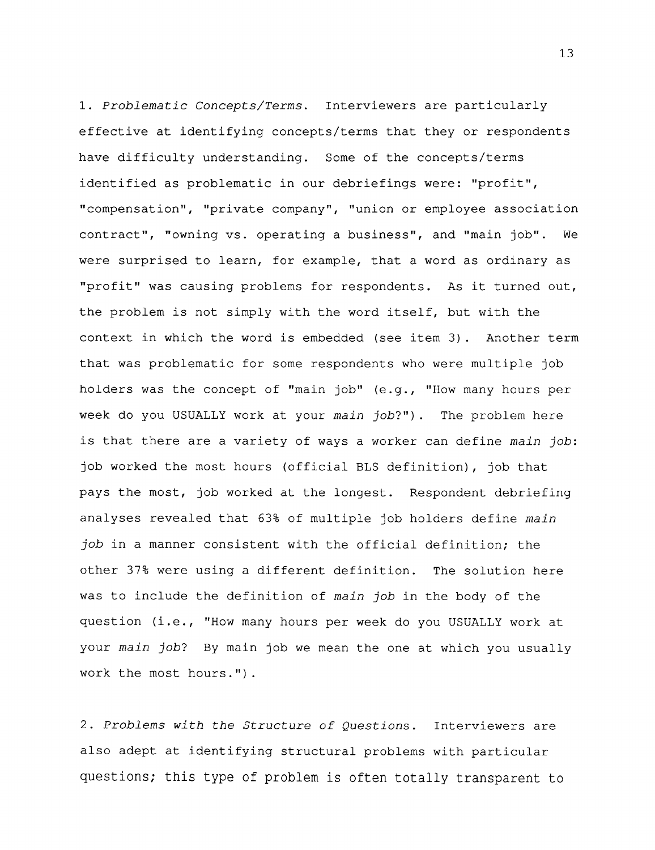1. Problematic Concepts/Terms. Interviewers are particularly effective at identifying concepts/terms that they or respondents have difficulty understanding. Some of the concepts/terms identified as problematic in our debriefings were: "profit", "compensation", "private company", "union or employee association contract", "owning vs. operating a business", and "main job". We were surprised to learn, for example, that a word as ordinary as "profit" was causing problems for respondents. As it turned out, the problem is not simply with the word itself, but with the context in which the word is embedded (see item 3) . Another term that was problematic for some respondents who were multiple job holders was the concept of "main job" (e.g., "How many hours per week do you USUALLY work at your main job?"). The problem here is that there are a variety of ways a worker can define main job: job worked the most hours (official BLS definition), job that pays the most, job worked at the longest. Respondent debriefing analyses revealed that 63% of multiple job holders define main job in a manner consistent with the official definition; the other 37% were using a different definition. The solution here was to include the definition of main job in the body of the question (i.e., "How many hours per week do you USUALLY work at your main job? By main job we mean the one at which you usually work the most hours.").

2. Problems with the Structure of Questions. Interviewers are also adept at identifying structural problems with particular questions; this type of problem is often totally transparent to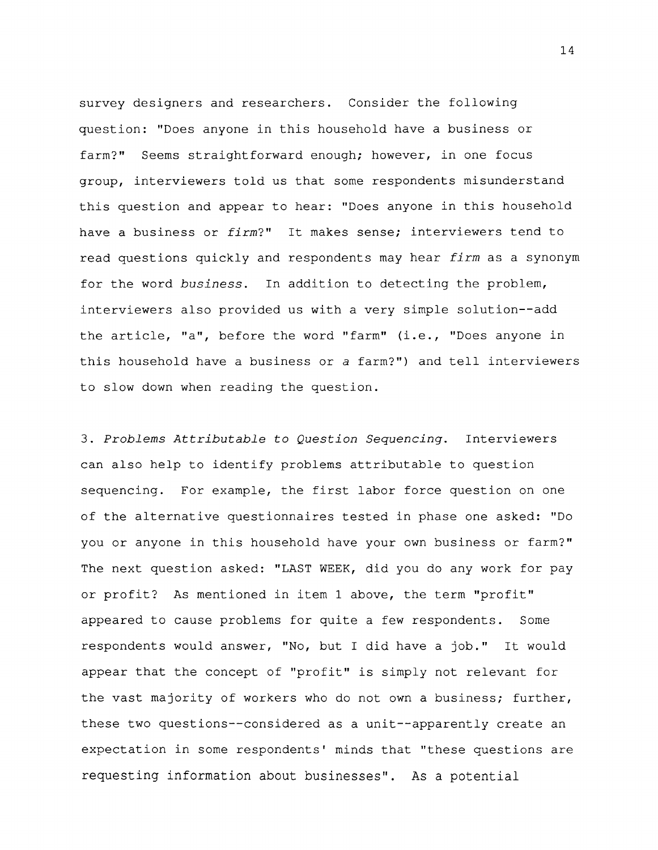survey designers and researchers. Consider the following question: "Does anyone in this household have a business or farm?" Seems straightforward enough; however, in one focus group, interviewers told us that some respondents misunderstand this question and appear to hear: "Does anyone in this household have a business or firm?" It makes sense; interviewers tend to read questions quickly and respondents may hear firm as a synonym for the word business. In addition to detecting the problem, interviewers also provided us with a very simple solution--add the article, **"a",** before the word "farm" (i.e., "Does anyone in this household have a business or a farm?") and tell interviewers to slow down when reading the question.

3. Problems Attributable to Question Sequencing. Interviewers can also help to identify problems attributable to question sequencing. For example, the first labor force question on one of the alternative questionnaires tested in phase one asked: "Do you or anyone in this household have your own business or farm?" The next question asked: "LAST WEEK, did you do any work for pay or profit? As mentioned in item 1 above, the term "profit" appeared to cause problems for quite a few respondents. Some respondents would answer, "No, but I did have a job." It would appear that the concept of "profit" is simply not relevant for the vast majority of workers who do not own a business; further, these two questions--considered as a unit--apparently create an expectation in some respondents' minds that "these questions are requesting information about businesses". As a potential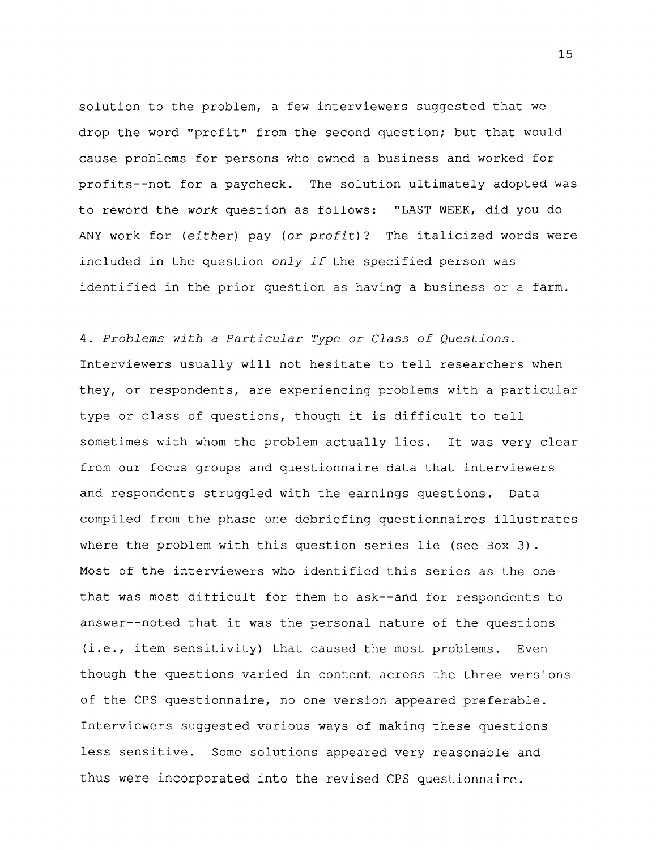solution to the problem, a few interviewers suggested that we drop the word "profit" from the second question; but that would cause problems for persons who owned a business and worked for profits--not for a paycheck. The solution ultimately adopted was to reword the work question as follows: "LAST WEEK, did you do ANY work for (either) pay (or profit)? The italicized words were included in the question only if the specified person was identified in the prior question as having a business or a farm.

4. Problems with a Particular Type or Class of Questions. Interviewers usually will not hesitate to tell researchers when they, or respondents, are experiencing problems with a particular type or class of questions, though it is difficult to tell sometimes with whom the problem actually lies. It was very clear from our focus groups and questionnaire data that interviewers and respondents struggled with the earnings questions. Data compiled from the phase one debriefing questionnaires illustrates where the problem with this question series lie (see Box 3) . Most of the interviewers who identified this series as the one that was most difficult for them to ask--and for respondents to answer--noted that it was the personal nature of the questions (i.e., item sensitivity) that caused the most problems. Even though the questions varied in content across the three versions of the CPS questionnaire, no one version appeared preferable. Interviewers suggested various ways of making these questions less sensitive. Some solutions appeared very reasonable and thus were incorporated into the revised CPS questionnaire.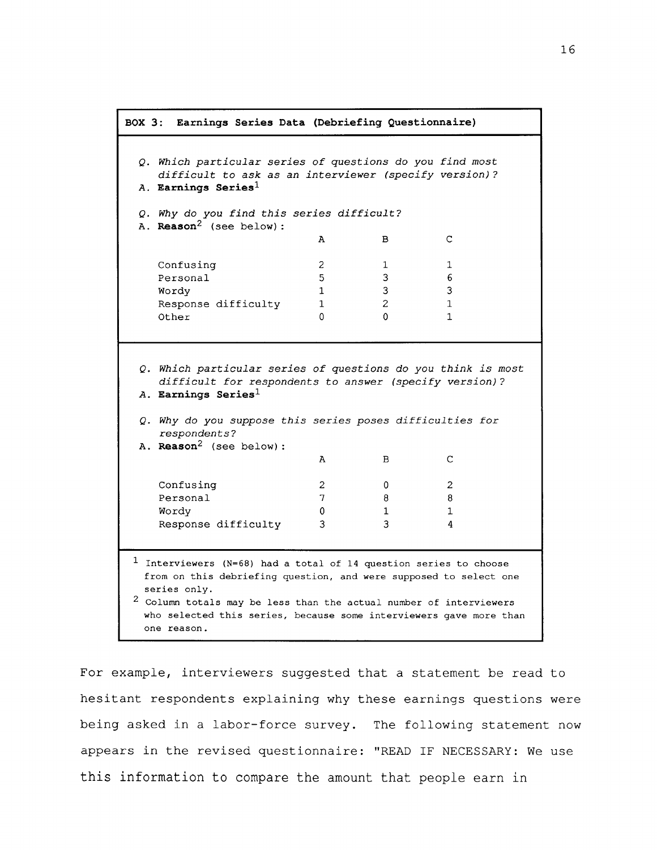```
A B C
    Confusing 2 1 1
    Personal 5 3 6
    Wordy 1 3 3
    Response difficulty 1 2 1
    Other 0 0 1BOX 3: Earnings Series Data (Debriefing Questionnaire)
 Q. Which particular series of questions do you find most
    difficult to ask as an interviewer (specify version)?
 A. Earnings Series1
 Q. Why do you find this series difficult?
 A. Reason2 (see below) :
 Q. Which particular series of questions do you think is most
    difficult for respondents to answer (specify version)?
 A. Earnings Series1
 Q. Why do you suppose this series poses difficulties for
    respondents?
 A. Reason2 (see below) :
                          A B C
    Confusing
    Personal
    Wordy
    Response difficulty
                          2
                          7
                          \mathbf{0}3
                                   \overline{0}8
                                   1
                                   3
                                            2
                                            8
                                            1
                                            4
1 Interviewers (N=68) had a total of 14 question series to choose
  from on this debriefing question, and were supposed to select one
  series only.
 2 Column totals may be less than the actual number of interviewers
  who selected this series, because some interviewers gave more than
  one reason.
```
For example, interviewers suggested that a statement be read to hesitant respondents explaining why these earnings questions were being asked in a labor-force survey. The following statement now appears in the revised questionnaire: "READ IF NECESSARY: We use this information to compare the amount that people earn in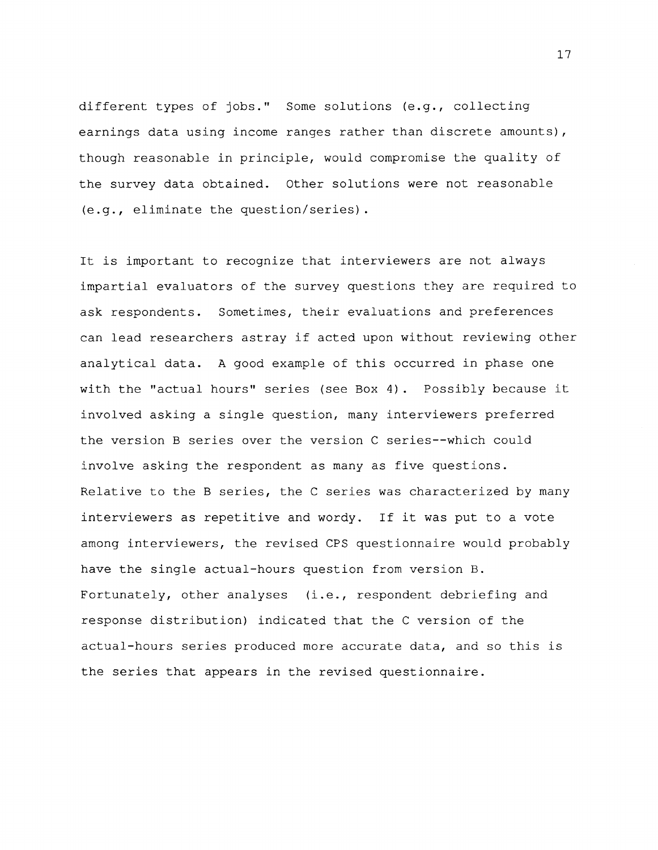different types of jobs." Some solutions (e.g., collecting earnings data using income ranges rather than discrete amounts), though reasonable in principle, would compromise the quality of the survey data obtained. Other solutions were not reasonable (e.g., eliminate the question/series).

It is important to recognize that interviewers are not always impartial evaluators of the survey questions they are required to ask respondents. Sometimes, their evaluations and preferences can lead researchers astray if acted upon without reviewing other analytical data. A good example of this occurred in phase one with the "actual hours" series (see Box 4) . Possibly because it involved asking a single question, many interviewers preferred the version B series over the version C series--which could involve asking the respondent as many as five questions. Relative to the B series, the C series was characterized by many interviewers as repetitive and wordy. If it was put to a vote among interviewers, the revised CPS questionnaire would probably have the single actual-hours question from version B. Fortunately, other analyses (i.e., respondent debriefing and response distribution) indicated that the C version of the actual-hours series produced more accurate data, and so this is the series that appears in the revised questionnaire.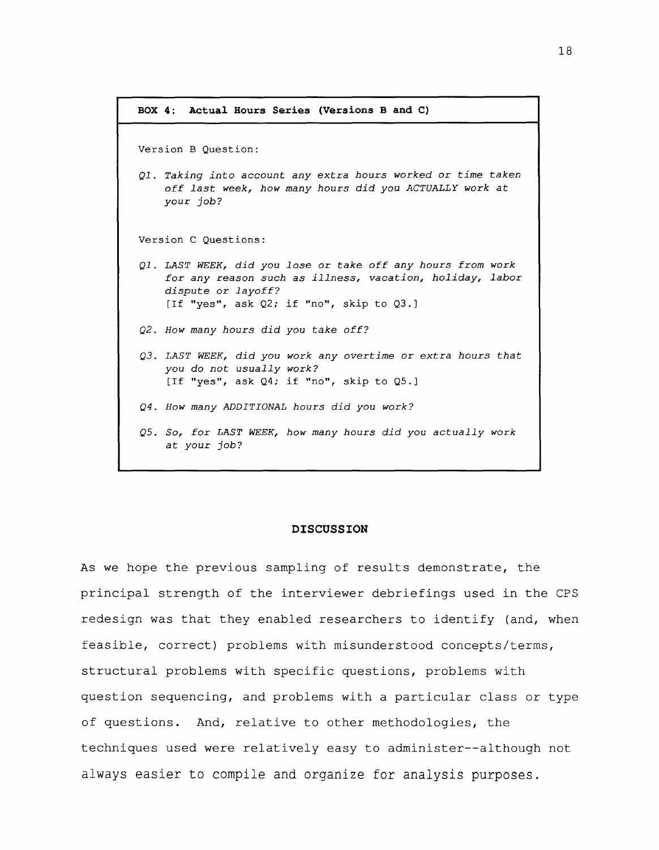```
BOX 4: Actual Hours Series (Versions B and C)
Version B Question:
Ql. Taking into account any extra hours worked or time taken
    off last week, how many hours did you ACTUALLY work at
    your job?
Version C Questions:
Ql. LAST WEEK, did you lose or take off any hours from work
    for any reason such as illness, vacation, holiday, labor
    dispute or layoff?
    [If "yes", ask Q2; if "no", skip to Q3.]
Q2. How many hours did you take off?
Q3. LAST WEEK, did you work any overtime or extra hours that
    you do not usually work?
    [If "yes", ask Q4; if "no", skip to Q5.]
Q4. How many ADDITIONAL hours did you work?
Q5. So, for LAST WEEK, how many hours did you actually work
    at your job?
```
### **DISCUSSION**

As we hope the previous sampling of results demonstrate, the principal strength of the interviewer debriefings used in the CPS redesign was that they enabled researchers to identify (and, when feasible, correct) problems with misunderstood concepts/terms, structural problems with specific questions, problems with question sequencing, and problems with a particular class or type of questions. And, relative to other methodologies, the techniques used were relatively easy to administer--although not always easier to compile and organize for analysis purposes.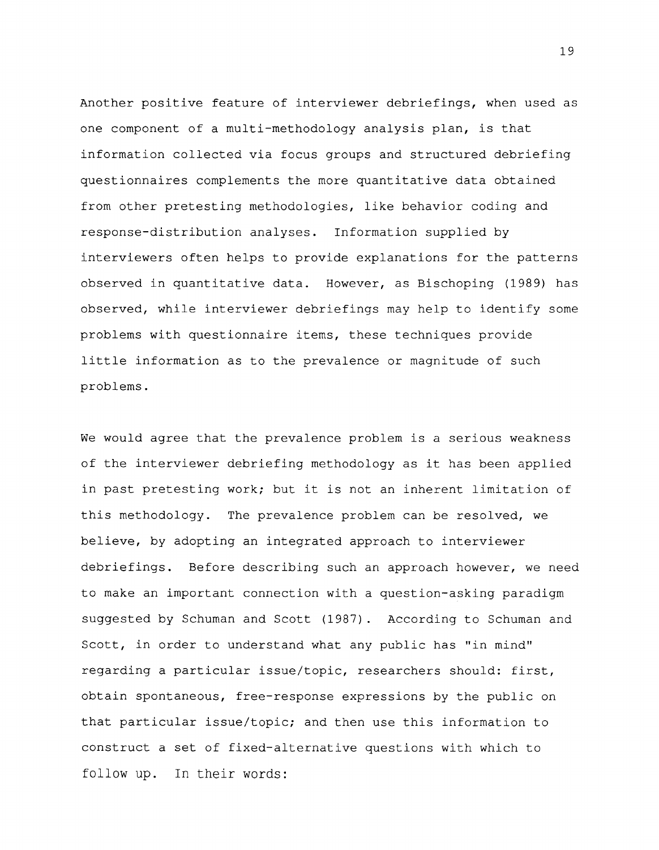Another positive feature of interviewer debriefings, when used as one component of a multi-methodology analysis plan, is that information collected via focus groups and structured debriefing questionnaires complements the more quantitative data obtained from other pretesting methodologies, like behavior coding and response-distribution analyses. Information supplied by interviewers often helps to provide explanations for the patterns observed in quantitative data. However, as Bischoping (1989) has observed, while interviewer debriefings may help to identify some problems with questionnaire items, these techniques provide little information as to the prevalence or magnitude of such problems.

We would agree that the prevalence problem is a serious weakness of the interviewer debriefing methodology as it has been applied in past pretesting work; but it is not an inherent limitation of this methodology. The prevalence problem can be resolved, we believe, by adopting an integrated approach to interviewer debriefings. Before describing such an approach however, we need to make an important connection with a question-asking paradigm suggested by Schuman and Scott (1987). According to Schuman and Scott, in order to understand what any public has "in mind" regarding a particular issue/topic, researchers should: first, obtain spontaneous, free-response expressions by the public on that particular issue/topic; and then use this information to construct a set of fixed-alternative questions with which to follow up. In their words: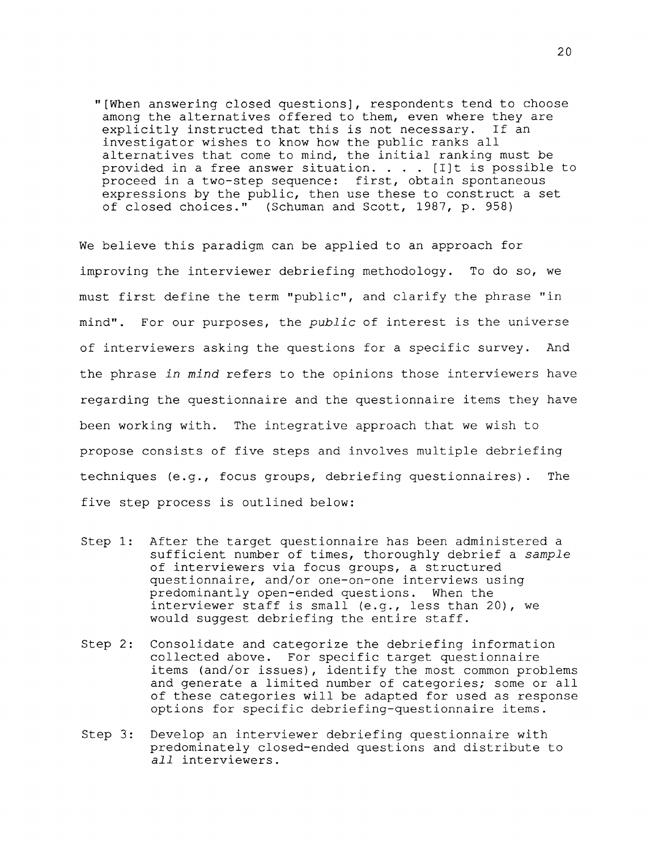"[When answering closed questions], respondents tend to choose among the alternatives offered to them, even where they are explicitly instructed that this is not necessary. If an investigator wishes to know how the public ranks all alternatives that come to mind, the initial ranking must be provided in a free answer situation.  $\ldots$  . [I]t is possible to proceed in a two-step sequence: first, obtain spontaneous expressions by the public, then use these to construct a set of closed choices." (Schuman and Scott, 1987, p. 958)

We believe this paradigm can be applied to an approach for improving the interviewer debriefing methodology. To do so, we must first define the term "public", and clarify the phrase "in mind". For our purposes, the public of interest is the universe of interviewers asking the questions for a specific survey. And the phrase in mind refers to the opinions those interviewers have regarding the questionnaire and the questionnaire items they have been working with. The integrative approach that we wish to propose consists of five steps and involves multiple debriefing techniques (e.g., focus groups, debriefing questionnaires). The five step process is outlined below:

- Step 1: After the target questionnaire has been administered a sufficient number of times, thoroughly debrief a sample of interviewers via focus groups, a structured questionnaire, and/or one-on-one interviews using predominantly open-ended questions. When the interviewer staff is small (e.g., less than 20), we would suggest debriefing the entire staff.
- Step 2: Consolidate and categorize the debriefing information collected above. For specific target questionnaire items (and/or issues), identify the most common problems and generate a limited number of categories; some or all of these categories will be adapted for used as response options for specific debriefing-questionnaire items.
- Step 3: Develop an interviewer debriefing questionnaire with predominately closed-ended questions and distribute to all interviewers.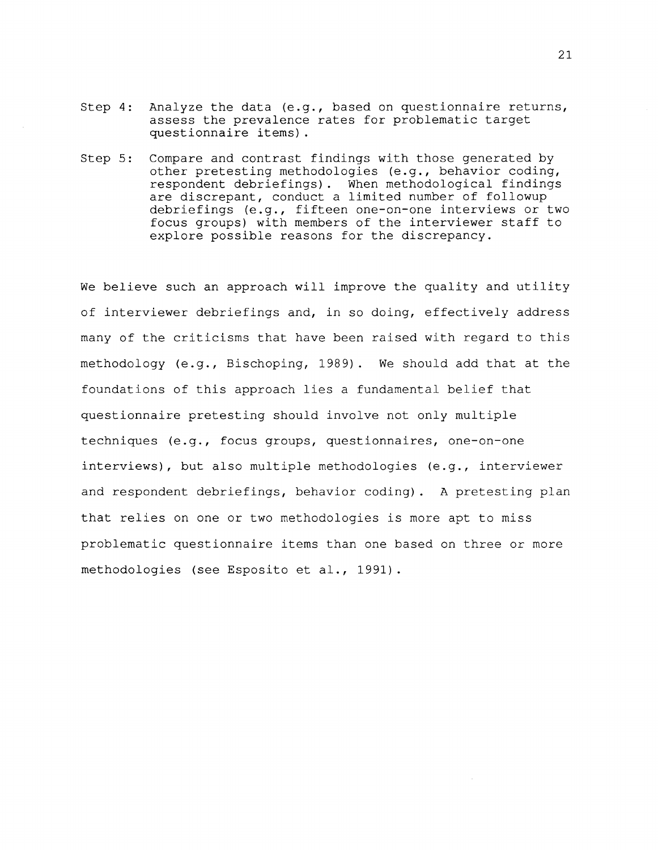- Step 4: Analyze the data (e.g., based on questionnaire returns, assess the prevalence rates for problematic target questionnaire items).
- Step 5: Compare and contrast findings with those generated by other pretesting methodologies (e.g., behavior coding, respondent debriefings). When methodological findings are discrepant, conduct a limited number of followup debriefings (e.g., fifteen one-on-one interviews or two focus groups) with members of the interviewer staff to explore possible reasons for the discrepancy.

We believe such an approach will improve the quality and utility of interviewer debriefings and, in so doing, effectively address many of the criticisms that have been raised with regard to this methodology (e.g., Bischoping, 1989). We should add that at the foundations of this approach lies a fundamental belief that questionnaire pretesting should involve not only multiple techniques (e.g., focus groups, questionnaires, one-on-one interviews), but also multiple methodologies (e.g., interviewer and respondent debriefings, behavior coding) . A pretesting plan that relies on one or two methodologies is more apt to miss problematic questionnaire items than one based on three or more methodologies (see Esposito et al., 1991).